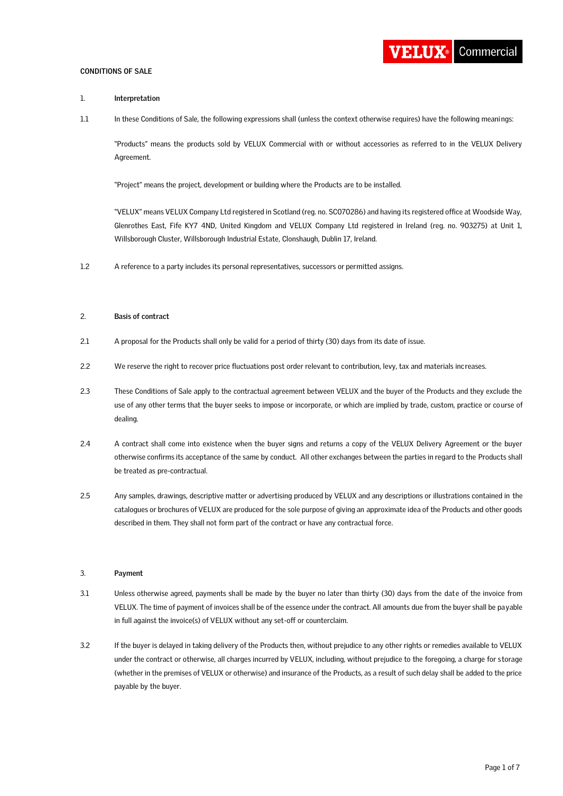### **CONDITIONS OF SALE**



## 1. **Interpretation**

1.1 In these Conditions of Sale, the following expressions shall (unless the context otherwise requires) have the following meanings:

"Products" means the products sold by VELUX Commercial with or without accessories as referred to in the VELUX Delivery Agreement.

"Project" means the project, development or building where the Products are to be installed.

"VELUX" means VELUX Company Ltd registered in Scotland (reg. no. SC070286) and having its registered office at Woodside Way, Glenrothes East, Fife KY7 4ND, United Kingdom and VELUX Company Ltd registered in Ireland (reg. no. 903275) at Unit 1, Willsborough Cluster, Willsborough Industrial Estate, Clonshaugh, Dublin 17, Ireland.

1.2 A reference to a party includes its personal representatives, successors or permitted assigns.

## 2. **Basis of contract**

- 2.1 A proposal for the Products shall only be valid for a period of thirty (30) days from its date of issue.
- 2.2 We reserve the right to recover price fluctuations post order relevant to contribution, levy, tax and materials increases.
- 2.3 These Conditions of Sale apply to the contractual agreement between VELUX and the buyer of the Products and they exclude the use of any other terms that the buyer seeks to impose or incorporate, or which are implied by trade, custom, practice or course of dealing.
- 2.4 A contract shall come into existence when the buyer signs and returns a copy of the VELUX Delivery Agreement or the buyer otherwise confirms its acceptance of the same by conduct. All other exchanges between the parties in regard to the Products shall be treated as pre-contractual.
- 2.5 Any samples, drawings, descriptive matter or advertising produced by VELUX and any descriptions or illustrations contained in the catalogues or brochures of VELUX are produced for the sole purpose of giving an approximate idea of the Products and other goods described in them. They shall not form part of the contract or have any contractual force.

#### 3. **Payment**

- 3.1 Unless otherwise agreed, payments shall be made by the buyer no later than thirty (30) days from the date of the invoice from VELUX. The time of payment of invoices shall be of the essence under the contract. All amounts due from the buyer shall be payable in full against the invoice(s) of VELUX without any set-off or counterclaim.
- 3.2 If the buyer is delayed in taking delivery of the Products then, without prejudice to any other rights or remedies available to VELUX under the contract or otherwise, all charges incurred by VELUX, including, without prejudice to the foregoing, a charge for s torage (whether in the premises of VELUX or otherwise) and insurance of the Products, as a result of such delay shall be added to the price payable by the buyer.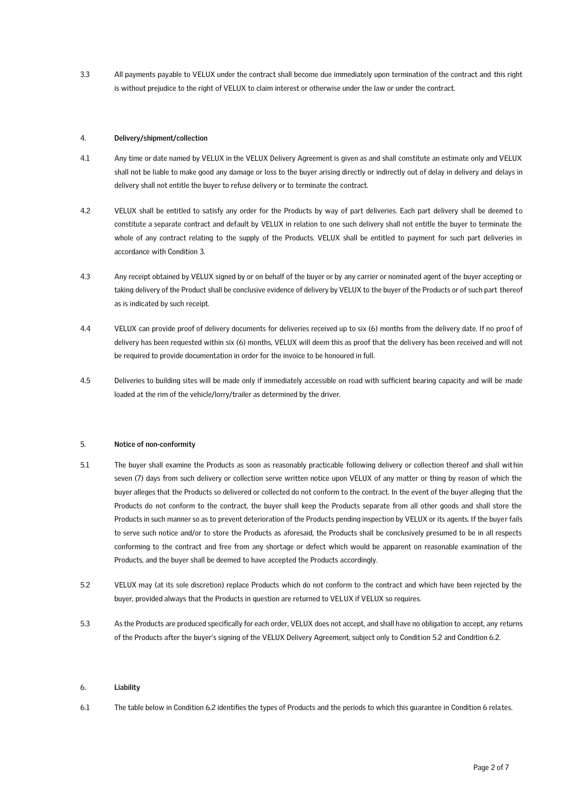3.3 All payments payable to VELUX under the contract shall become due immediately upon termination of the contract and this right is without prejudice to the right of VELUX to claim interest or otherwise under the law or under the contract.

## 4. **Delivery/shipment/collection**

- 4.1 Any time or date named by VELUX in the VELUX Delivery Agreement is given as and shall constitute an estimate only and VELUX shall not be liable to make good any damage or loss to the buyer arising directly or indirectly out of delay in delivery and delays in delivery shall not entitle the buyer to refuse delivery or to terminate the contract.
- 4.2 VELUX shall be entitled to satisfy any order for the Products by way of part deliveries. Each part delivery shall be deemed to constitute a separate contract and default by VELUX in relation to one such delivery shall not entitle the buyer to terminate the whole of any contract relating to the supply of the Products. VELUX shall be entitled to payment for such part deliveries in accordance with Condition 3.
- 4.3 Any receipt obtained by VELUX signed by or on behalf of the buyer or by any carrier or nominated agent of the buyer accepting or taking delivery of the Product shall be conclusive evidence of delivery by VELUX to the buyer of the Products or of such part thereof as is indicated by such receipt.
- 4.4 VELUX can provide proof of delivery documents for deliveries received up to six (6) months from the delivery date. If no proof of delivery has been requested within six (6) months, VELUX will deem this as proof that the delivery has been received and will not be required to provide documentation in order for the invoice to be honoured in full.
- 4.5 Deliveries to building sites will be made only if immediately accessible on road with sufficient bearing capacity and will be made loaded at the rim of the vehicle/lorry/trailer as determined by the driver.

## 5. **Notice of non-conformity**

- 5.1 The buyer shall examine the Products as soon as reasonably practicable following delivery or collection thereof and shall within seven (7) days from such delivery or collection serve written notice upon VELUX of any matter or thing by reason of which the buyer alleges that the Products so delivered or collected do not conform to the contract. In the event of the buyer alleging that the Products do not conform to the contract, the buyer shall keep the Products separate from all other goods and shall store the Products in such manner so as to prevent deterioration of the Products pending inspection by VELUX or its agents. If the buyer fails to serve such notice and/or to store the Products as aforesaid, the Products shall be conclusively presumed to be in all respects conforming to the contract and free from any shortage or defect which would be apparent on reasonable examination of the Products, and the buyer shall be deemed to have accepted the Products accordingly.
- 5.2 VELUX may (at its sole discretion) replace Products which do not conform to the contract and which have been rejected by the buyer, provided always that the Products in question are returned to VELUX if VELUX so requires.
- 5.3 As the Products are produced specifically for each order, VELUX does not accept, and shall have no obligation to accept, any returns of the Products after the buyer's signing of the VELUX Delivery Agreement, subject only to Condition 5.2 and Condition 6.2.

## 6. **Liability**

6.1 The table below in Condition 6.2 identifies the types of Products and the periods to which this guarantee in Condition 6 relates.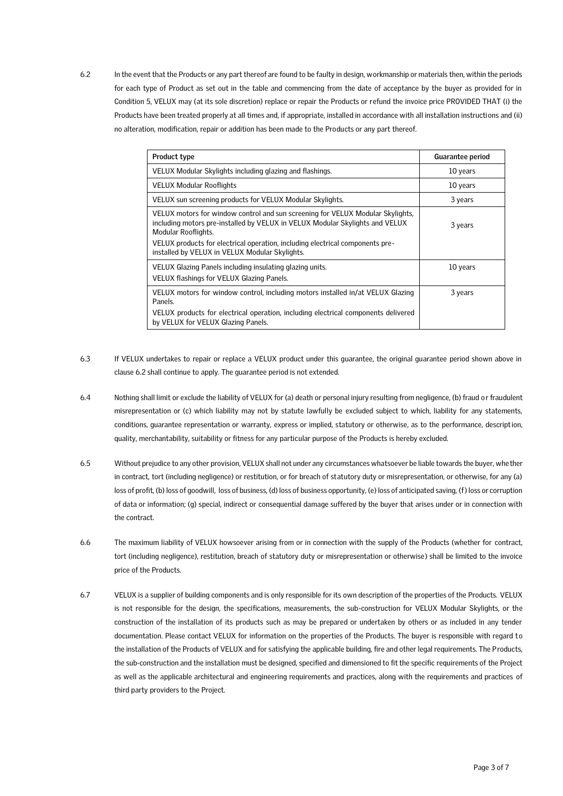6.2 In the event that the Products or any part thereof are found to be faulty in design, workmanship or materials then, within the periods for each type of Product as set out in the table and commencing from the date of acceptance by the buyer as provided for in Condition 5, VELUX may (at its sole discretion) replace or repair the Products or refund the invoice price PROVIDED THAT (i) the Products have been treated properly at all times and, if appropriate, installed in accordance with all installation instructions and (ii) no alteration, modification, repair or addition has been made to the Products or any part thereof.

| Product type                                                                                                                                                                                                                                                                                                             | Guarantee period |
|--------------------------------------------------------------------------------------------------------------------------------------------------------------------------------------------------------------------------------------------------------------------------------------------------------------------------|------------------|
| VELUX Modular Skylights including glazing and flashings.                                                                                                                                                                                                                                                                 | 10 years         |
| VELUX Modular Rooflights                                                                                                                                                                                                                                                                                                 | 10 years         |
| VELUX sun screening products for VELUX Modular Skylights.                                                                                                                                                                                                                                                                | 3 years          |
| VELUX motors for window control and sun screening for VELUX Modular Skylights,<br>including motors pre-installed by VELUX in VELUX Modular Skylights and VELUX<br>Modular Rooflights.<br>VELUX products for electrical operation, including electrical components pre-<br>installed by VELUX in VELUX Modular Skylights. | 3 years          |
| VELUX Glazing Panels including insulating glazing units.<br>VELUX flashings for VELUX Glazing Panels.                                                                                                                                                                                                                    | 10 years         |
| VELUX motors for window control, including motors installed in/at VELUX Glazing<br>Panels.                                                                                                                                                                                                                               | 3 years          |
| VELUX products for electrical operation, including electrical components delivered<br>by VELUX for VELUX Glazing Panels.                                                                                                                                                                                                 |                  |

- 6.3 If VELUX undertakes to repair or replace a VELUX product under this guarantee, the original guarantee period shown above in clause 6.2 shall continue to apply. The guarantee period is not extended.
- 6.4 Nothing shall limit or exclude the liability of VELUX for (a) death or personal injury resulting from negligence, (b) fraud or fraudulent misrepresentation or (c) which liability may not by statute lawfully be excluded subject to which, liability for any statements, conditions, guarantee representation or warranty, express or implied, statutory or otherwise, as to the performance, description, quality, merchantability, suitability or fitness for any particular purpose of the Products is hereby excluded.
- 6.5 Without prejudice to any other provision, VELUX shall not under any circumstances whatsoever be liable towards the buyer, whether in contract, tort (including negligence) or restitution, or for breach of statutory duty or misrepresentation, or otherwise, for any (a) loss of profit, (b) loss of goodwill, loss of business, (d) loss of business opportunity, (e) loss of anticipated saving, (f) loss or corruption of data or information; (g) special, indirect or consequential damage suffered by the buyer that arises under or in connection with the contract.
- 6.6 The maximum liability of VELUX howsoever arising from or in connection with the supply of the Products (whether for contract, tort (including negligence), restitution, breach of statutory duty or misrepresentation or otherwise) shall be limited to the invoice price of the Products.
- 6.7 VELUX is a supplier of building components and is only responsible for its own description of the properties of the Products. VELUX is not responsible for the design, the specifications, measurements, the sub-construction for VELUX Modular Skylights, or the construction of the installation of its products such as may be prepared or undertaken by others or as included in any tender documentation. Please contact VELUX for information on the properties of the Products. The buyer is responsible with regard to the installation of the Products of VELUX and for satisfying the applicable building, fire and other legal requirements. The Products, the sub-construction and the installation must be designed, specified and dimensioned to fit the specific requirements of the Project as well as the applicable architectural and engineering requirements and practices, along with the requirements and practices of third party providers to the Project.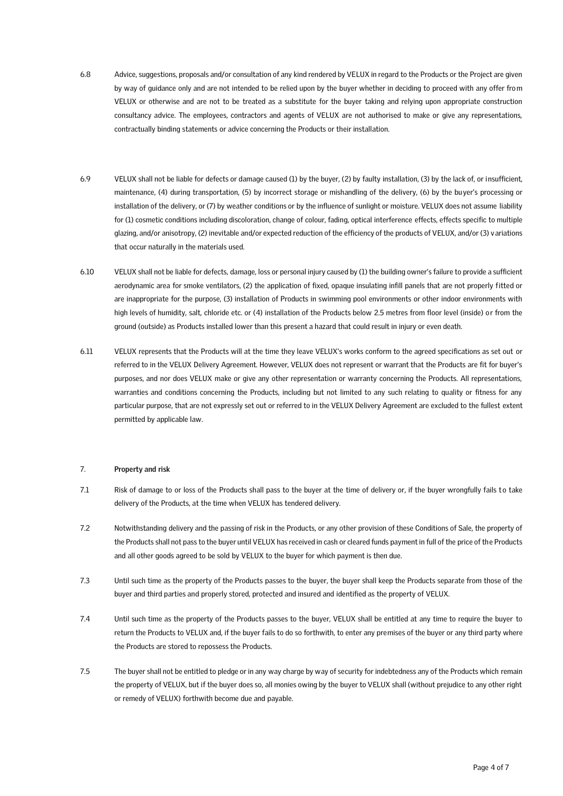- 6.8 Advice, suggestions, proposals and/or consultation of any kind rendered by VELUX in regard to the Products or the Project are given by way of guidance only and are not intended to be relied upon by the buyer whether in deciding to proceed with any offer from VELUX or otherwise and are not to be treated as a substitute for the buyer taking and relying upon appropriate construction consultancy advice. The employees, contractors and agents of VELUX are not authorised to make or give any representations, contractually binding statements or advice concerning the Products or their installation.
- 6.9 VELUX shall not be liable for defects or damage caused (1) by the buyer, (2) by faulty installation, (3) by the lack of, or insufficient, maintenance, (4) during transportation, (5) by incorrect storage or mishandling of the delivery, (6) by the buyer's processing or installation of the delivery, or (7) by weather conditions or by the influence of sunlight or moisture. VELUX does not assume liability for (1) cosmetic conditions including discoloration, change of colour, fading, optical interference effects, effects specific to multiple glazing, and/or anisotropy, (2) inevitable and/or expected reduction of the efficiency of the products of VELUX, and/or (3) variations that occur naturally in the materials used.
- 6.10 VELUX shall not be liable for defects, damage, loss or personal injury caused by (1) the building owner's failure to provide a sufficient aerodynamic area for smoke ventilators, (2) the application of fixed, opaque insulating infill panels that are not properly fitted or are inappropriate for the purpose, (3) installation of Products in swimming pool environments or other indoor environments with high levels of humidity, salt, chloride etc. or (4) installation of the Products below 2.5 metres from floor level (inside) or from the ground (outside) as Products installed lower than this present a hazard that could result in injury or even death.
- 6.11 VELUX represents that the Products will at the time they leave VELUX's works conform to the agreed specifications as set out or referred to in the VELUX Delivery Agreement. However, VELUX does not represent or warrant that the Products are fit for buyer's purposes, and nor does VELUX make or give any other representation or warranty concerning the Products. All representations, warranties and conditions concerning the Products, including but not limited to any such relating to quality or fitness for any particular purpose, that are not expressly set out or referred to in the VELUX Delivery Agreement are excluded to the fullest extent permitted by applicable law.

# 7. **Property and risk**

- 7.1 Risk of damage to or loss of the Products shall pass to the buyer at the time of delivery or, if the buyer wrongfully fails to take delivery of the Products, at the time when VELUX has tendered delivery.
- 7.2 Notwithstanding delivery and the passing of risk in the Products, or any other provision of these Conditions of Sale, the property of the Products shall not pass to the buyer until VELUX has received in cash or cleared funds payment in full of the price of the Products and all other goods agreed to be sold by VELUX to the buyer for which payment is then due.
- 7.3 Until such time as the property of the Products passes to the buyer, the buyer shall keep the Products separate from those of the buyer and third parties and properly stored, protected and insured and identified as the property of VELUX.
- 7.4 Until such time as the property of the Products passes to the buyer, VELUX shall be entitled at any time to require the buyer to return the Products to VELUX and, if the buyer fails to do so forthwith, to enter any premises of the buyer or any third party where the Products are stored to repossess the Products.
- 7.5 The buyer shall not be entitled to pledge or in any way charge by way of security for indebtedness any of the Products which remain the property of VELUX, but if the buyer does so, all monies owing by the buyer to VELUX shall (without prejudice to any other right or remedy of VELUX) forthwith become due and payable.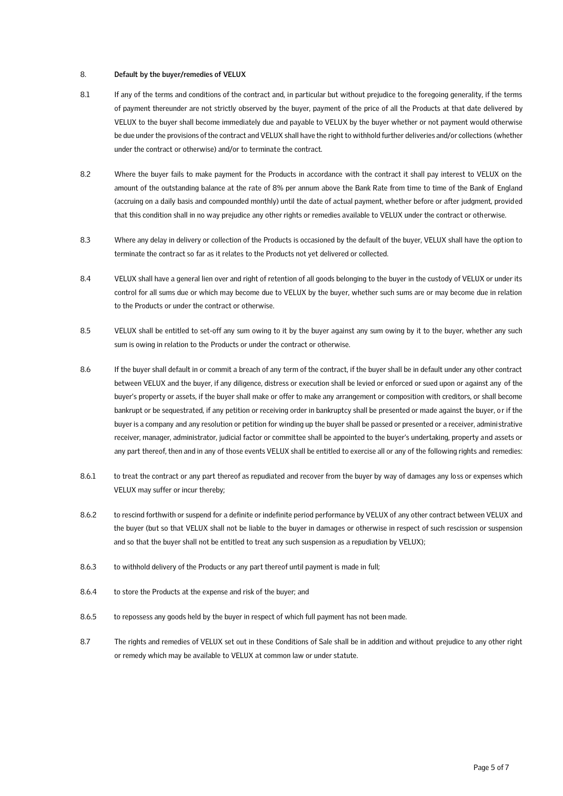## 8. **Default by the buyer/remedies of VELUX**

- 8.1 If any of the terms and conditions of the contract and, in particular but without prejudice to the foregoing generality, if the terms of payment thereunder are not strictly observed by the buyer, payment of the price of all the Products at that date delivered by VELUX to the buyer shall become immediately due and payable to VELUX by the buyer whether or not payment would otherwise be due under the provisions of the contract and VELUX shall have the right to withhold further deliveries and/or collections (whether under the contract or otherwise) and/or to terminate the contract.
- 8.2 Where the buyer fails to make payment for the Products in accordance with the contract it shall pay interest to VELUX on the amount of the outstanding balance at the rate of 8% per annum above the Bank Rate from time to time of the Bank of England (accruing on a daily basis and compounded monthly) until the date of actual payment, whether before or after judgment, provided that this condition shall in no way prejudice any other rights or remedies available to VELUX under the contract or otherwise.
- 8.3 Where any delay in delivery or collection of the Products is occasioned by the default of the buyer, VELUX shall have the option to terminate the contract so far as it relates to the Products not yet delivered or collected.
- 8.4 VELUX shall have a general lien over and right of retention of all goods belonging to the buyer in the custody of VELUX or under its control for all sums due or which may become due to VELUX by the buyer, whether such sums are or may become due in relation to the Products or under the contract or otherwise.
- 8.5 VELUX shall be entitled to set-off any sum owing to it by the buyer against any sum owing by it to the buyer, whether any such sum is owing in relation to the Products or under the contract or otherwise.
- 8.6 If the buyer shall default in or commit a breach of any term of the contract, if the buyer shall be in default under any other contract between VELUX and the buyer, if any diligence, distress or execution shall be levied or enforced or sued upon or against any of the buyer's property or assets, if the buyer shall make or offer to make any arrangement or composition with creditors, or shall become bankrupt or be sequestrated, if any petition or receiving order in bankruptcy shall be presented or made against the buyer, or if the buyer is a company and any resolution or petition for winding up the buyer shall be passed or presented or a receiver, admini strative receiver, manager, administrator, judicial factor or committee shall be appointed to the buyer's undertaking, property and assets or any part thereof, then and in any of those events VELUX shall be entitled to exercise all or any of the following rights and remedies:
- 8.6.1 to treat the contract or any part thereof as repudiated and recover from the buyer by way of damages any loss or expenses which VELUX may suffer or incur thereby;
- 8.6.2 to rescind forthwith or suspend for a definite or indefinite period performance by VELUX of any other contract between VELUX and the buyer (but so that VELUX shall not be liable to the buyer in damages or otherwise in respect of such rescission or suspension and so that the buyer shall not be entitled to treat any such suspension as a repudiation by VELUX);
- 8.6.3 to withhold delivery of the Products or any part thereof until payment is made in full;
- 8.6.4 to store the Products at the expense and risk of the buyer; and
- 8.6.5 to repossess any goods held by the buyer in respect of which full payment has not been made.
- 8.7 The rights and remedies of VELUX set out in these Conditions of Sale shall be in addition and without prejudice to any other right or remedy which may be available to VELUX at common law or under statute.